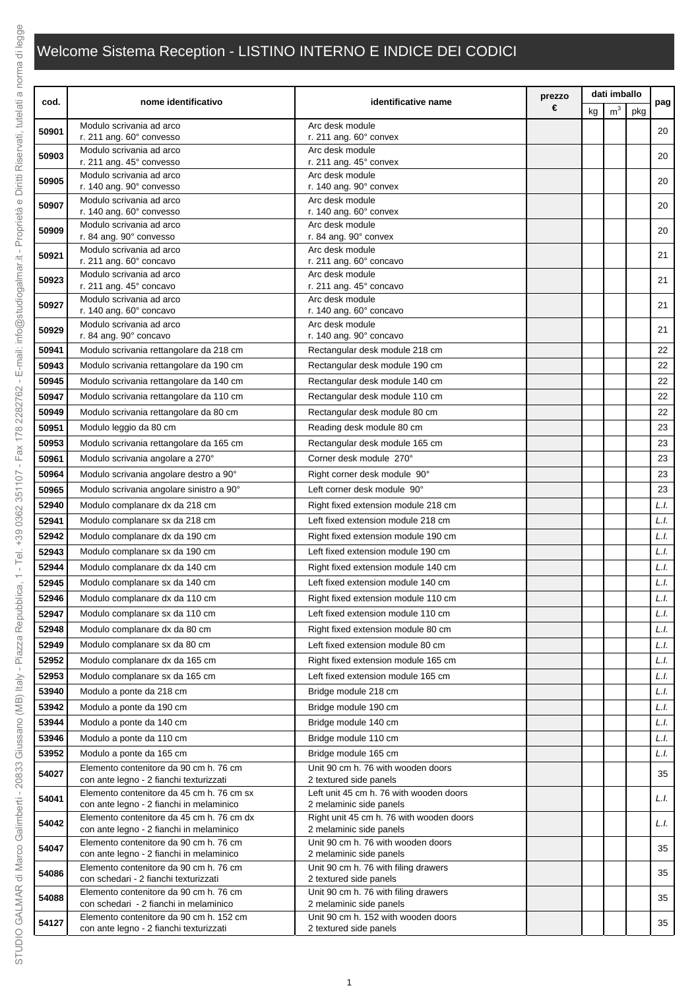## Welcome Sistema Reception - LISTINO INTERNO E INDICE DEI CODICI

|                | nome identificativo                                                                   | identificative name                                                 | prezzo<br>€ |    | dati imballo   |     |              |
|----------------|---------------------------------------------------------------------------------------|---------------------------------------------------------------------|-------------|----|----------------|-----|--------------|
| cod.           |                                                                                       |                                                                     |             | kg | m <sup>3</sup> | pkg | pag          |
| 50901          | Modulo scrivania ad arco<br>r. 211 ang. 60° convesso                                  | Arc desk module<br>r. 211 ang. 60° convex                           |             |    |                |     | 20           |
| 50903          | Modulo scrivania ad arco                                                              | Arc desk module                                                     |             |    |                |     | 20           |
|                | r. 211 ang. 45° convesso                                                              | r. 211 ang. 45° convex                                              |             |    |                |     |              |
| 50905          | Modulo scrivania ad arco<br>r. 140 ang. 90° convesso                                  | Arc desk module<br>r. 140 ang. 90° convex                           |             |    |                |     | 20           |
| 50907          | Modulo scrivania ad arco<br>r. 140 ang. 60° convesso                                  | Arc desk module<br>r. 140 ang. 60° convex                           |             |    |                |     | 20           |
|                | Modulo scrivania ad arco                                                              | Arc desk module                                                     |             |    |                |     |              |
| 50909          | r. 84 ang. 90° convesso                                                               | r. 84 ang. 90° convex                                               |             |    |                |     | 20           |
| 50921          | Modulo scrivania ad arco<br>r. 211 ang. 60° concavo                                   | Arc desk module<br>r. 211 ang. 60° concavo                          |             |    |                |     | 21           |
| 50923          | Modulo scrivania ad arco<br>r. 211 ang. 45° concavo                                   | Arc desk module<br>r. 211 ang. 45° concavo                          |             |    |                |     | 21           |
|                | Modulo scrivania ad arco                                                              | Arc desk module                                                     |             |    |                |     |              |
| 50927          | r. 140 ang. 60° concavo                                                               | r. 140 ang. 60° concavo                                             |             |    |                |     | 21           |
| 50929          | Modulo scrivania ad arco<br>r. 84 ang. 90° concavo                                    | Arc desk module<br>r. 140 ang. 90° concavo                          |             |    |                |     | 21           |
| 50941          | Modulo scrivania rettangolare da 218 cm                                               | Rectangular desk module 218 cm                                      |             |    |                |     | 22           |
| 50943          | Modulo scrivania rettangolare da 190 cm                                               | Rectangular desk module 190 cm                                      |             |    |                |     | 22           |
| 50945          | Modulo scrivania rettangolare da 140 cm                                               | Rectangular desk module 140 cm                                      |             |    |                |     | 22           |
| 50947          | Modulo scrivania rettangolare da 110 cm                                               | Rectangular desk module 110 cm                                      |             |    |                |     | 22           |
| 50949          | Modulo scrivania rettangolare da 80 cm                                                | Rectangular desk module 80 cm                                       |             |    |                |     | 22           |
| 50951          | Modulo leggio da 80 cm                                                                | Reading desk module 80 cm                                           |             |    |                |     | 23           |
| 50953          | Modulo scrivania rettangolare da 165 cm                                               | Rectangular desk module 165 cm                                      |             |    |                |     | 23           |
| 50961          | Modulo scrivania angolare a 270°                                                      | Corner desk module 270°                                             |             |    |                |     | 23           |
| 50964          | Modulo scrivania angolare destro a 90°                                                | Right corner desk module 90°                                        |             |    |                |     | 23           |
| 50965          | Modulo scrivania angolare sinistro a 90°                                              | Left corner desk module 90°                                         |             |    |                |     | 23           |
| 52940          | Modulo complanare dx da 218 cm                                                        | Right fixed extension module 218 cm                                 |             |    |                |     | L.l.         |
| 52941          | Modulo complanare sx da 218 cm                                                        | Left fixed extension module 218 cm                                  |             |    |                |     | L.I.         |
| 52942          | Modulo complanare dx da 190 cm                                                        | Right fixed extension module 190 cm                                 |             |    |                |     | L.l.         |
| 52943          | Modulo complanare sx da 190 cm                                                        | Left fixed extension module 190 cm                                  |             |    |                |     | L.l.         |
| 52944          | Modulo complanare dx da 140 cm                                                        | Right fixed extension module 140 cm                                 |             |    |                |     | L.l.         |
| 52945          | Modulo complanare sx da 140 cm                                                        | Left fixed extension module 140 cm                                  |             |    |                |     | L.l.         |
| 52946          | Modulo complanare dx da 110 cm                                                        | Right fixed extension module 110 cm                                 |             |    |                |     | L.I.         |
| 52947          | Modulo complanare sx da 110 cm                                                        | Left fixed extension module 110 cm                                  |             |    |                |     | L.I.         |
| 52948          | Modulo complanare dx da 80 cm                                                         | Right fixed extension module 80 cm                                  |             |    |                |     | L.I.         |
| 52949          | Modulo complanare sx da 80 cm                                                         | Left fixed extension module 80 cm                                   |             |    |                |     | L.l.         |
| 52952          | Modulo complanare dx da 165 cm                                                        | Right fixed extension module 165 cm                                 |             |    |                |     | L.I.         |
| 52953          | Modulo complanare sx da 165 cm                                                        | Left fixed extension module 165 cm                                  |             |    |                |     | L.I.         |
| 53940          | Modulo a ponte da 218 cm                                                              | Bridge module 218 cm                                                |             |    |                |     | L.I.<br>L.I. |
| 53942<br>53944 | Modulo a ponte da 190 cm                                                              | Bridge module 190 cm                                                |             |    |                |     | L.I.         |
| 53946          | Modulo a ponte da 140 cm<br>Modulo a ponte da 110 cm                                  | Bridge module 140 cm<br>Bridge module 110 cm                        |             |    |                |     | L.I.         |
| 53952          | Modulo a ponte da 165 cm                                                              | Bridge module 165 cm                                                |             |    |                |     | L.I.         |
|                | Elemento contenitore da 90 cm h. 76 cm                                                | Unit 90 cm h. 76 with wooden doors                                  |             |    |                |     |              |
| 54027          | con ante legno - 2 fianchi texturizzati                                               | 2 textured side panels                                              |             |    |                |     | 35           |
| 54041          | Elemento contenitore da 45 cm h. 76 cm sx<br>con ante legno - 2 fianchi in melaminico | Left unit 45 cm h. 76 with wooden doors<br>2 melaminic side panels  |             |    |                |     | L.I.         |
| 54042          | Elemento contenitore da 45 cm h. 76 cm dx<br>con ante legno - 2 fianchi in melaminico | Right unit 45 cm h. 76 with wooden doors<br>2 melaminic side panels |             |    |                |     | L.I.         |
| 54047          | Elemento contenitore da 90 cm h. 76 cm                                                | Unit 90 cm h. 76 with wooden doors                                  |             |    |                |     | 35           |
|                | con ante legno - 2 fianchi in melaminico<br>Elemento contenitore da 90 cm h. 76 cm    | 2 melaminic side panels<br>Unit 90 cm h. 76 with filing drawers     |             |    |                |     |              |
| 54086          | con schedari - 2 fianchi texturizzati<br>Elemento contenitore da 90 cm h. 76 cm       | 2 textured side panels<br>Unit 90 cm h. 76 with filing drawers      |             |    |                |     | 35           |
| 54088          | con schedari - 2 fianchi in melaminico                                                | 2 melaminic side panels                                             |             |    |                |     | 35           |
| 54127          | Elemento contenitore da 90 cm h. 152 cm<br>con ante legno - 2 fianchi texturizzati    | Unit 90 cm h. 152 with wooden doors<br>2 textured side panels       |             |    |                |     | 35           |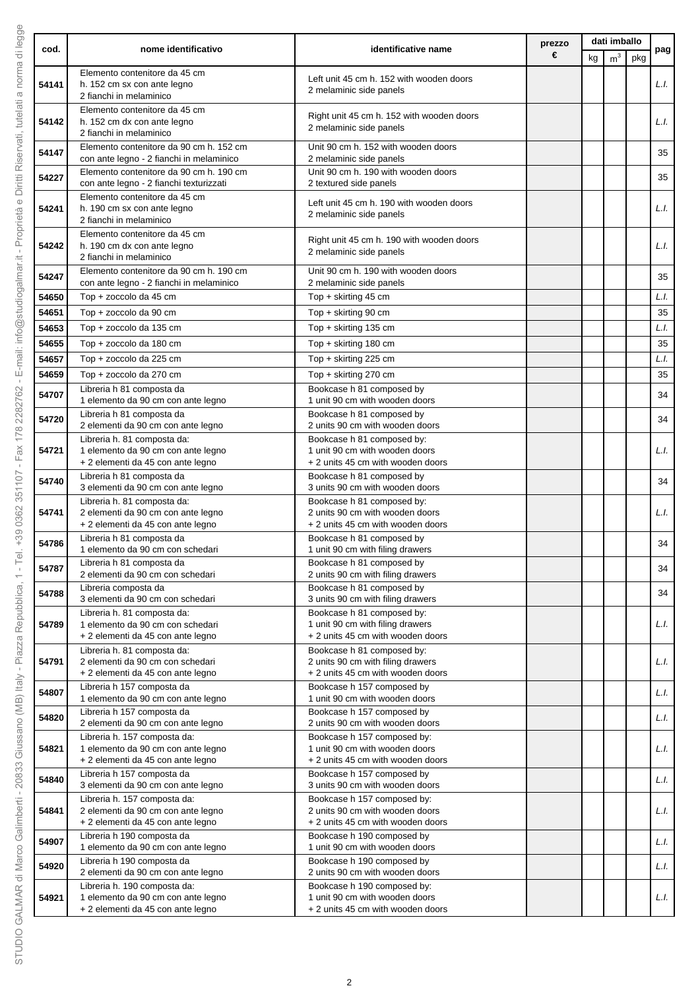|       |                                                                                                         | identificative name                                                                                 | prezzo | dati imballo |                |     |      |  |
|-------|---------------------------------------------------------------------------------------------------------|-----------------------------------------------------------------------------------------------------|--------|--------------|----------------|-----|------|--|
| cod.  | nome identificativo                                                                                     |                                                                                                     | €      | kg           | m <sup>3</sup> | pkg | pag  |  |
| 54141 | Elemento contenitore da 45 cm<br>h. 152 cm sx con ante legno<br>2 fianchi in melaminico                 | Left unit 45 cm h. 152 with wooden doors<br>2 melaminic side panels                                 |        |              |                |     | L.I. |  |
| 54142 | Elemento contenitore da 45 cm<br>h. 152 cm dx con ante legno<br>2 fianchi in melaminico                 | Right unit 45 cm h. 152 with wooden doors<br>2 melaminic side panels                                |        |              |                |     | L.I. |  |
| 54147 | Elemento contenitore da 90 cm h. 152 cm<br>con ante legno - 2 fianchi in melaminico                     | Unit 90 cm h. 152 with wooden doors<br>2 melaminic side panels                                      |        |              |                |     | 35   |  |
| 54227 | Elemento contenitore da 90 cm h. 190 cm                                                                 | Unit 90 cm h. 190 with wooden doors                                                                 |        |              |                |     | 35   |  |
|       | con ante legno - 2 fianchi texturizzati<br>Elemento contenitore da 45 cm                                | 2 textured side panels                                                                              |        |              |                |     |      |  |
| 54241 | h. 190 cm sx con ante legno<br>2 fianchi in melaminico                                                  | Left unit 45 cm h. 190 with wooden doors<br>2 melaminic side panels                                 |        |              |                |     | L.I. |  |
| 54242 | Elemento contenitore da 45 cm<br>h. 190 cm dx con ante legno<br>2 fianchi in melaminico                 | Right unit 45 cm h. 190 with wooden doors<br>2 melaminic side panels                                |        |              |                |     | L.I. |  |
| 54247 | Elemento contenitore da 90 cm h. 190 cm<br>con ante legno - 2 fianchi in melaminico                     | Unit 90 cm h. 190 with wooden doors<br>2 melaminic side panels                                      |        |              |                |     | 35   |  |
| 54650 | Top + zoccolo da 45 cm                                                                                  | Top + skirting 45 cm                                                                                |        |              |                |     | L.I. |  |
| 54651 | Top + zoccolo da 90 cm                                                                                  | Top + skirting 90 cm                                                                                |        |              |                |     | 35   |  |
| 54653 | Top + zoccolo da 135 cm                                                                                 | Top + skirting 135 cm                                                                               |        |              |                |     | L.I. |  |
| 54655 | Top + zoccolo da 180 cm                                                                                 | Top + skirting 180 cm                                                                               |        |              |                |     | 35   |  |
| 54657 | Top + zoccolo da 225 cm                                                                                 | Top + skirting 225 cm                                                                               |        |              |                |     | L.I. |  |
| 54659 | Top + zoccolo da 270 cm                                                                                 | Top + skirting 270 cm                                                                               |        |              |                |     | 35   |  |
| 54707 | Libreria h 81 composta da<br>1 elemento da 90 cm con ante legno                                         | Bookcase h 81 composed by<br>1 unit 90 cm with wooden doors                                         |        |              |                |     | 34   |  |
| 54720 | Libreria h 81 composta da<br>2 elementi da 90 cm con ante legno                                         | Bookcase h 81 composed by<br>2 units 90 cm with wooden doors                                        |        |              |                |     | 34   |  |
| 54721 | Libreria h. 81 composta da:<br>1 elemento da 90 cm con ante legno<br>+ 2 elementi da 45 con ante legno  | Bookcase h 81 composed by:<br>1 unit 90 cm with wooden doors<br>+ 2 units 45 cm with wooden doors   |        |              |                |     | L.I. |  |
| 54740 | Libreria h 81 composta da<br>3 elementi da 90 cm con ante legno                                         | Bookcase h 81 composed by<br>3 units 90 cm with wooden doors                                        |        |              |                |     | 34   |  |
|       | Libreria h. 81 composta da:                                                                             | Bookcase h 81 composed by:                                                                          |        |              |                |     |      |  |
| 54741 | 2 elementi da 90 cm con ante legno<br>+ 2 elementi da 45 con ante legno                                 | 2 units 90 cm with wooden doors<br>+ 2 units 45 cm with wooden doors                                |        |              |                |     | L.I. |  |
| 54786 | Libreria h 81 composta da<br>1 elemento da 90 cm con schedari                                           | Bookcase h 81 composed by<br>1 unit 90 cm with filing drawers                                       |        |              |                |     | 34   |  |
| 54787 | Libreria h 81 composta da<br>2 elementi da 90 cm con schedari                                           | Bookcase h 81 composed by<br>2 units 90 cm with filing drawers                                      |        |              |                |     | 34   |  |
| 54788 | Libreria composta da<br>3 elementi da 90 cm con schedari                                                | Bookcase h 81 composed by<br>3 units 90 cm with filing drawers                                      |        |              |                |     | 34   |  |
| 54789 | Libreria h. 81 composta da:<br>1 elemento da 90 cm con schedari<br>+ 2 elementi da 45 con ante legno    | Bookcase h 81 composed by:<br>1 unit 90 cm with filing drawers<br>+ 2 units 45 cm with wooden doors |        |              |                |     | L.I. |  |
| 54791 | Libreria h. 81 composta da:<br>2 elementi da 90 cm con schedari                                         | Bookcase h 81 composed by:<br>2 units 90 cm with filing drawers                                     |        |              |                |     | L.I. |  |
| 54807 | + 2 elementi da 45 con ante legno<br>Libreria h 157 composta da<br>1 elemento da 90 cm con ante legno   | + 2 units 45 cm with wooden doors<br>Bookcase h 157 composed by<br>1 unit 90 cm with wooden doors   |        |              |                |     | L.I. |  |
| 54820 | Libreria h 157 composta da<br>2 elementi da 90 cm con ante legno                                        | Bookcase h 157 composed by<br>2 units 90 cm with wooden doors                                       |        |              |                |     | L.I. |  |
| 54821 | Libreria h. 157 composta da:<br>1 elemento da 90 cm con ante legno<br>+ 2 elementi da 45 con ante legno | Bookcase h 157 composed by:<br>1 unit 90 cm with wooden doors<br>+ 2 units 45 cm with wooden doors  |        |              |                |     | L.I. |  |
| 54840 | Libreria h 157 composta da<br>3 elementi da 90 cm con ante legno                                        | Bookcase h 157 composed by<br>3 units 90 cm with wooden doors                                       |        |              |                |     | L.I. |  |
| 54841 | Libreria h. 157 composta da:<br>2 elementi da 90 cm con ante legno<br>+ 2 elementi da 45 con ante legno | Bookcase h 157 composed by:<br>2 units 90 cm with wooden doors<br>+ 2 units 45 cm with wooden doors |        |              |                |     | L.I. |  |
| 54907 | Libreria h 190 composta da<br>1 elemento da 90 cm con ante legno                                        | Bookcase h 190 composed by<br>1 unit 90 cm with wooden doors                                        |        |              |                |     | L.I. |  |
| 54920 | Libreria h 190 composta da<br>2 elementi da 90 cm con ante legno                                        | Bookcase h 190 composed by<br>2 units 90 cm with wooden doors                                       |        |              |                |     | L.I. |  |
| 54921 | Libreria h. 190 composta da:<br>1 elemento da 90 cm con ante legno<br>+ 2 elementi da 45 con ante legno | Bookcase h 190 composed by:<br>1 unit 90 cm with wooden doors<br>+ 2 units 45 cm with wooden doors  |        |              |                |     | L.I. |  |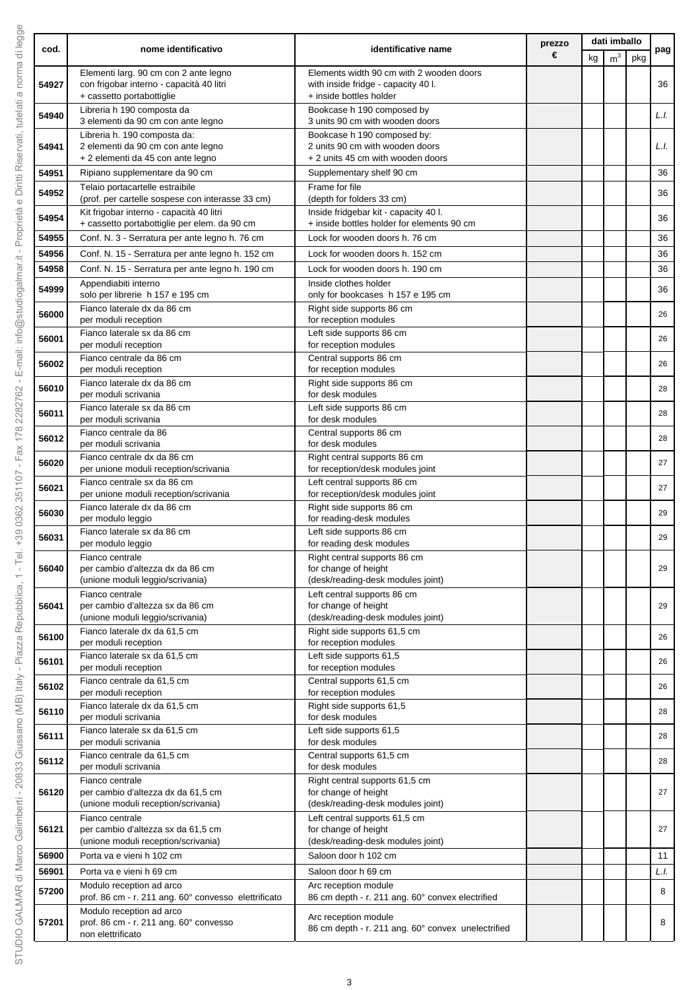|       |                                                                                                                |                                                                                                            | prezzo |    | dati imballo   |     |      |
|-------|----------------------------------------------------------------------------------------------------------------|------------------------------------------------------------------------------------------------------------|--------|----|----------------|-----|------|
| cod.  | nome identificativo                                                                                            | identificative name                                                                                        | €      | kg | m <sup>3</sup> | pkg | pag  |
| 54927 | Elementi larg. 90 cm con 2 ante legno<br>con frigobar interno - capacità 40 litri<br>+ cassetto portabottiglie | Elements width 90 cm with 2 wooden doors<br>with inside fridge - capacity 40 l.<br>+ inside bottles holder |        |    |                |     | 36   |
| 54940 | Libreria h 190 composta da<br>3 elementi da 90 cm con ante legno                                               | Bookcase h 190 composed by<br>3 units 90 cm with wooden doors                                              |        |    |                |     | L.I. |
| 54941 | Libreria h. 190 composta da:<br>2 elementi da 90 cm con ante legno<br>+ 2 elementi da 45 con ante legno        | Bookcase h 190 composed by:<br>2 units 90 cm with wooden doors                                             |        |    |                |     | L.I. |
| 54951 | Ripiano supplementare da 90 cm                                                                                 | + 2 units 45 cm with wooden doors<br>Supplementary shelf 90 cm                                             |        |    |                |     | 36   |
| 54952 | Telaio portacartelle estraibile<br>(prof. per cartelle sospese con interasse 33 cm)                            | Frame for file<br>(depth for folders 33 cm)                                                                |        |    |                |     | 36   |
| 54954 | Kit frigobar interno - capacità 40 litri<br>+ cassetto portabottiglie per elem. da 90 cm                       | Inside fridgebar kit - capacity 40 l.<br>+ inside bottles holder for elements 90 cm                        |        |    |                |     | 36   |
| 54955 | Conf. N. 3 - Serratura per ante legno h. 76 cm                                                                 | Lock for wooden doors h. 76 cm                                                                             |        |    |                |     | 36   |
| 54956 | Conf. N. 15 - Serratura per ante legno h. 152 cm                                                               | Lock for wooden doors h. 152 cm                                                                            |        |    |                |     | 36   |
| 54958 | Conf. N. 15 - Serratura per ante legno h. 190 cm                                                               | Lock for wooden doors h. 190 cm                                                                            |        |    |                |     | 36   |
| 54999 | Appendiabiti interno<br>solo per librerie h 157 e 195 cm                                                       | Inside clothes holder<br>only for bookcases h 157 e 195 cm                                                 |        |    |                |     | 36   |
| 56000 | Fianco laterale dx da 86 cm<br>per moduli reception                                                            | Right side supports 86 cm<br>for reception modules                                                         |        |    |                |     | 26   |
| 56001 | Fianco laterale sx da 86 cm                                                                                    | Left side supports 86 cm                                                                                   |        |    |                |     | 26   |
|       | per moduli reception<br>Fianco centrale da 86 cm                                                               | for reception modules<br>Central supports 86 cm                                                            |        |    |                |     |      |
| 56002 | per moduli reception                                                                                           | for reception modules                                                                                      |        |    |                |     | 26   |
| 56010 | Fianco laterale dx da 86 cm<br>per moduli scrivania                                                            | Right side supports 86 cm<br>for desk modules                                                              |        |    |                |     | 28   |
| 56011 | Fianco laterale sx da 86 cm<br>per moduli scrivania                                                            | Left side supports 86 cm<br>for desk modules                                                               |        |    |                |     | 28   |
| 56012 | Fianco centrale da 86<br>per moduli scrivania                                                                  | Central supports 86 cm<br>for desk modules                                                                 |        |    |                |     | 28   |
| 56020 | Fianco centrale dx da 86 cm<br>per unione moduli reception/scrivania                                           | Right central supports 86 cm<br>for reception/desk modules joint                                           |        |    |                |     | 27   |
| 56021 | Fianco centrale sx da 86 cm<br>per unione moduli reception/scrivania                                           | Left central supports 86 cm<br>for reception/desk modules joint                                            |        |    |                |     | 27   |
| 56030 | Fianco laterale dx da 86 cm<br>per modulo leggio                                                               | Right side supports 86 cm<br>for reading-desk modules                                                      |        |    |                |     | 29   |
| 56031 | Fianco laterale sx da 86 cm<br>per modulo leggio                                                               | Left side supports 86 cm<br>for reading desk modules                                                       |        |    |                |     | 29   |
| 56040 | Fianco centrale<br>per cambio d'altezza dx da 86 cm                                                            | Right central supports 86 cm<br>for change of height                                                       |        |    |                |     | 29   |
|       | (unione moduli leggio/scrivania)                                                                               | (desk/reading-desk modules joint)                                                                          |        |    |                |     |      |
| 56041 | Fianco centrale<br>per cambio d'altezza sx da 86 cm<br>(unione moduli leggio/scrivania)                        | Left central supports 86 cm<br>for change of height<br>(desk/reading-desk modules joint)                   |        |    |                |     | 29   |
| 56100 | Fianco laterale dx da 61,5 cm<br>per moduli reception                                                          | Right side supports 61,5 cm<br>for reception modules                                                       |        |    |                |     | 26   |
| 56101 | Fianco laterale sx da 61.5 cm<br>per moduli reception                                                          | Left side supports 61,5<br>for reception modules                                                           |        |    |                |     | 26   |
| 56102 | Fianco centrale da 61.5 cm<br>per moduli reception                                                             | Central supports 61,5 cm<br>for reception modules                                                          |        |    |                |     | 26   |
| 56110 | Fianco laterale dx da 61,5 cm<br>per moduli scrivania                                                          | Right side supports 61,5<br>for desk modules                                                               |        |    |                |     | 28   |
| 56111 | Fianco laterale sx da 61,5 cm<br>per moduli scrivania                                                          | Left side supports 61,5<br>for desk modules                                                                |        |    |                |     | 28   |
| 56112 | Fianco centrale da 61,5 cm<br>per moduli scrivania                                                             | Central supports 61,5 cm<br>for desk modules                                                               |        |    |                |     | 28   |
| 56120 | Fianco centrale<br>per cambio d'altezza dx da 61,5 cm                                                          | Right central supports 61,5 cm<br>for change of height                                                     |        |    |                |     | 27   |
| 56121 | (unione moduli reception/scrivania)<br>Fianco centrale<br>per cambio d'altezza sx da 61,5 cm                   | (desk/reading-desk modules joint)<br>Left central supports 61,5 cm<br>for change of height                 |        |    |                |     | 27   |
| 56900 | (unione moduli reception/scrivania)<br>Porta va e vieni h 102 cm                                               | (desk/reading-desk modules joint)<br>Saloon door h 102 cm                                                  |        |    |                |     | 11   |
| 56901 | Porta va e vieni h 69 cm                                                                                       | Saloon door h 69 cm                                                                                        |        |    |                |     | L.I. |
| 57200 | Modulo reception ad arco<br>prof. 86 cm - r. 211 ang. 60° convesso elettrificato                               | Arc reception module<br>86 cm depth - r. 211 ang. 60° convex electrified                                   |        |    |                |     | 8    |
| 57201 | Modulo reception ad arco<br>prof. 86 cm - r. 211 ang. 60° convesso<br>non elettrificato                        | Arc reception module<br>86 cm depth - r. 211 ang. 60° convex unelectrified                                 |        |    |                |     | 8    |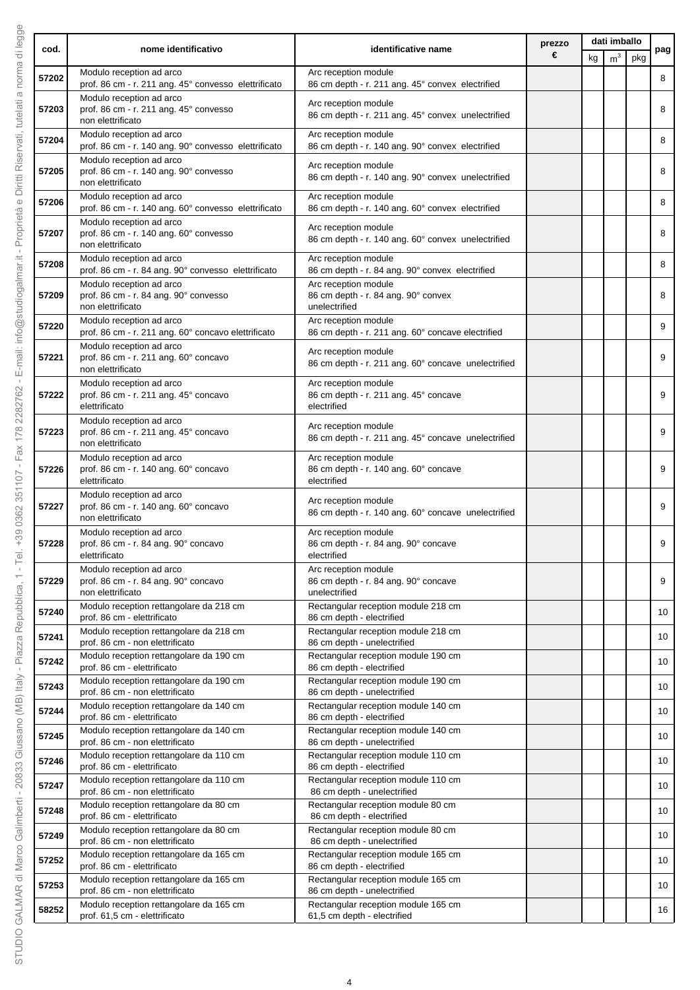|                | nome identificativo                                                                                                   | identificative name                                                                                       | prezzo |    | dati imballo   |     |          |
|----------------|-----------------------------------------------------------------------------------------------------------------------|-----------------------------------------------------------------------------------------------------------|--------|----|----------------|-----|----------|
| cod.           |                                                                                                                       |                                                                                                           | €      | kg | m <sup>3</sup> | pkg | pag      |
| 57202          | Modulo reception ad arco<br>prof. 86 cm - r. 211 ang. 45° convesso elettrificato                                      | Arc reception module<br>86 cm depth - r. 211 ang. 45° convex electrified                                  |        |    |                |     | 8        |
| 57203          | Modulo reception ad arco<br>prof. 86 cm - r. 211 ang. 45° convesso<br>non elettrificato                               | Arc reception module<br>86 cm depth - r. 211 ang. 45° convex unelectrified                                |        |    |                |     | 8        |
| 57204          | Modulo reception ad arco<br>prof. 86 cm - r. 140 ang. 90° convesso elettrificato                                      | Arc reception module<br>86 cm depth - r. 140 ang. 90° convex electrified                                  |        |    |                |     | 8        |
| 57205          | Modulo reception ad arco<br>prof. 86 cm - r. 140 ang. 90° convesso<br>non elettrificato                               | Arc reception module<br>86 cm depth - r. 140 ang. 90° convex unelectrified                                |        |    |                |     | 8        |
| 57206          | Modulo reception ad arco<br>prof. 86 cm - r. 140 ang. 60° convesso elettrificato                                      | Arc reception module<br>86 cm depth - r. 140 ang. 60° convex electrified                                  |        |    |                |     | 8        |
| 57207          | Modulo reception ad arco<br>prof. 86 cm - r. 140 ang. 60° convesso<br>non elettrificato                               | Arc reception module<br>86 cm depth - r. 140 ang. 60° convex unelectrified                                |        |    |                |     | 8        |
| 57208          | Modulo reception ad arco<br>prof. 86 cm - r. 84 ang. 90° convesso elettrificato                                       | Arc reception module<br>86 cm depth - r. 84 ang. 90° convex electrified                                   |        |    |                |     | 8        |
| 57209          | Modulo reception ad arco<br>prof. 86 cm - r. 84 ang. 90° convesso<br>non elettrificato                                | Arc reception module<br>86 cm depth - r. 84 ang. 90° convex<br>unelectrified                              |        |    |                |     | 8        |
| 57220          | Modulo reception ad arco<br>prof. 86 cm - r. 211 ang. 60° concavo elettrificato                                       | Arc reception module<br>86 cm depth - r. 211 ang. 60° concave electrified                                 |        |    |                |     | 9        |
| 57221          | Modulo reception ad arco<br>prof. 86 cm - r. 211 ang. 60° concavo<br>non elettrificato                                | Arc reception module<br>86 cm depth - r. 211 ang. 60° concave unelectrified                               |        |    |                |     | 9        |
| 57222          | Modulo reception ad arco<br>prof. 86 cm - r. 211 ang. 45° concavo<br>elettrificato                                    | Arc reception module<br>86 cm depth - r. 211 ang. 45° concave<br>electrified                              |        |    |                |     | 9        |
| 57223          | Modulo reception ad arco<br>prof. 86 cm - r. 211 ang. 45° concavo<br>non elettrificato                                | Arc reception module<br>86 cm depth - r. 211 ang. 45° concave unelectrified                               |        |    |                |     | 9        |
| 57226          | Modulo reception ad arco<br>prof. 86 cm - r. 140 ang. 60° concavo<br>elettrificato                                    | Arc reception module<br>86 cm depth - r. 140 ang. 60° concave<br>electrified                              |        |    |                |     | 9        |
| 57227          | Modulo reception ad arco<br>prof. 86 cm - r. 140 ang. 60° concavo<br>non elettrificato                                | Arc reception module<br>86 cm depth - r. 140 ang. 60° concave unelectrified                               |        |    |                |     | 9        |
| 57228          | Modulo reception ad arco<br>prof. 86 cm - r. 84 ang. 90° concavo<br>elettrificato                                     | Arc reception module<br>86 cm depth - r. 84 ang. 90° concave<br>electrified                               |        |    |                |     | 9        |
| 57229          | Modulo reception ad arco<br>prof. 86 cm - r. 84 ang. 90° concavo<br>non elettrificato                                 | Arc reception module<br>86 cm depth - r. 84 ang. 90° concave<br>unelectrified                             |        |    |                |     | 9        |
| 57240          | Modulo reception rettangolare da 218 cm<br>prof. 86 cm - elettrificato                                                | Rectangular reception module 218 cm<br>86 cm depth - electrified                                          |        |    |                |     | 10       |
| 57241          | Modulo reception rettangolare da 218 cm<br>prof. 86 cm - non elettrificato                                            | Rectangular reception module 218 cm<br>86 cm depth - unelectrified                                        |        |    |                |     | 10       |
| 57242          | Modulo reception rettangolare da 190 cm<br>prof. 86 cm - elettrificato                                                | Rectangular reception module 190 cm<br>86 cm depth - electrified                                          |        |    |                |     | 10       |
| 57243          | Modulo reception rettangolare da 190 cm<br>prof. 86 cm - non elettrificato<br>Modulo reception rettangolare da 140 cm | Rectangular reception module 190 cm<br>86 cm depth - unelectrified<br>Rectangular reception module 140 cm |        |    |                |     | 10       |
| 57244          | prof. 86 cm - elettrificato<br>Modulo reception rettangolare da 140 cm                                                | 86 cm depth - electrified<br>Rectangular reception module 140 cm                                          |        |    |                |     | 10       |
| 57245          | prof. 86 cm - non elettrificato<br>Modulo reception rettangolare da 110 cm                                            | 86 cm depth - unelectrified<br>Rectangular reception module 110 cm                                        |        |    |                |     | 10       |
| 57246<br>57247 | prof. 86 cm - elettrificato<br>Modulo reception rettangolare da 110 cm                                                | 86 cm depth - electrified<br>Rectangular reception module 110 cm                                          |        |    |                |     | 10<br>10 |
| 57248          | prof. 86 cm - non elettrificato<br>Modulo reception rettangolare da 80 cm                                             | 86 cm depth - unelectrified<br>Rectangular reception module 80 cm                                         |        |    |                |     | 10       |
| 57249          | prof. 86 cm - elettrificato<br>Modulo reception rettangolare da 80 cm<br>prof. 86 cm - non elettrificato              | 86 cm depth - electrified<br>Rectangular reception module 80 cm<br>86 cm depth - unelectrified            |        |    |                |     | 10       |
| 57252          | Modulo reception rettangolare da 165 cm<br>prof. 86 cm - elettrificato                                                | Rectangular reception module 165 cm<br>86 cm depth - electrified                                          |        |    |                |     | 10       |
| 57253          | Modulo reception rettangolare da 165 cm<br>prof. 86 cm - non elettrificato                                            | Rectangular reception module 165 cm<br>86 cm depth - unelectrified                                        |        |    |                |     | 10       |
| 58252          | Modulo reception rettangolare da 165 cm<br>prof. 61,5 cm - elettrificato                                              | Rectangular reception module 165 cm<br>61,5 cm depth - electrified                                        |        |    |                |     | 16       |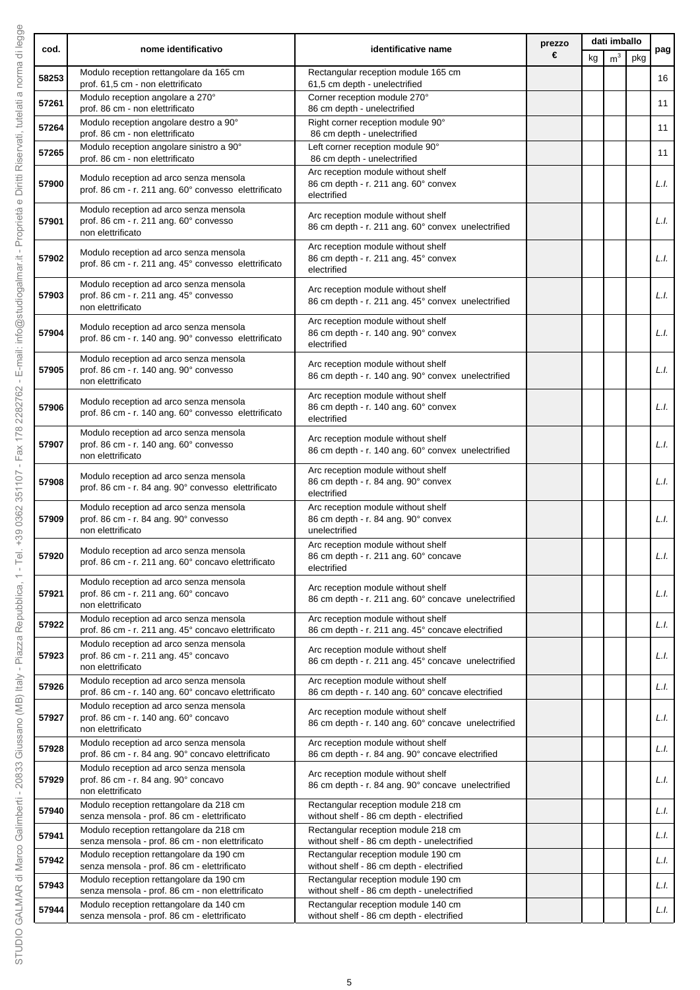|       | nome identificativo                                                                                   |                                                                                            | prezzo |    | dati imballo   |     |      |
|-------|-------------------------------------------------------------------------------------------------------|--------------------------------------------------------------------------------------------|--------|----|----------------|-----|------|
| cod.  |                                                                                                       | identificative name                                                                        | €      | kg | m <sup>3</sup> | pkg | pag  |
| 58253 | Modulo reception rettangolare da 165 cm<br>prof. 61,5 cm - non elettrificato                          | Rectangular reception module 165 cm<br>61,5 cm depth - unelectrified                       |        |    |                |     | 16   |
| 57261 | Modulo reception angolare a 270°<br>prof. 86 cm - non elettrificato                                   | Corner reception module 270°<br>86 cm depth - unelectrified                                |        |    |                |     | 11   |
| 57264 | Modulo reception angolare destro a 90°<br>prof. 86 cm - non elettrificato                             | Right corner reception module 90°<br>86 cm depth - unelectrified                           |        |    |                |     | 11   |
| 57265 | Modulo reception angolare sinistro a 90°<br>prof. 86 cm - non elettrificato                           | Left corner reception module 90°<br>86 cm depth - unelectrified                            |        |    |                |     | 11   |
| 57900 | Modulo reception ad arco senza mensola<br>prof. 86 cm - r. 211 ang. 60° convesso elettrificato        | Arc reception module without shelf<br>86 cm depth - r. 211 ang. 60° convex<br>electrified  |        |    |                |     | L.I. |
| 57901 | Modulo reception ad arco senza mensola<br>prof. 86 cm - r. 211 ang. 60° convesso<br>non elettrificato | Arc reception module without shelf<br>86 cm depth - r. 211 ang. 60° convex unelectrified   |        |    |                |     | L.l. |
| 57902 | Modulo reception ad arco senza mensola<br>prof. 86 cm - r. 211 ang. 45° convesso elettrificato        | Arc reception module without shelf<br>86 cm depth - r. 211 ang. 45° convex<br>electrified  |        |    |                |     | L.I. |
| 57903 | Modulo reception ad arco senza mensola<br>prof. 86 cm - r. 211 ang. 45° convesso<br>non elettrificato | Arc reception module without shelf<br>86 cm depth - r. 211 ang. 45° convex unelectrified   |        |    |                |     | L.I. |
| 57904 | Modulo reception ad arco senza mensola<br>prof. 86 cm - r. 140 ang. 90° convesso elettrificato        | Arc reception module without shelf<br>86 cm depth - r. 140 ang. 90° convex<br>electrified  |        |    |                |     | L.l. |
| 57905 | Modulo reception ad arco senza mensola<br>prof. 86 cm - r. 140 ang. 90° convesso<br>non elettrificato | Arc reception module without shelf<br>86 cm depth - r. 140 ang. 90° convex unelectrified   |        |    |                |     | L.I. |
| 57906 | Modulo reception ad arco senza mensola<br>prof. 86 cm - r. 140 ang. 60° convesso elettrificato        | Arc reception module without shelf<br>86 cm depth - r. 140 ang. 60° convex<br>electrified  |        |    |                |     | L.l. |
| 57907 | Modulo reception ad arco senza mensola<br>prof. 86 cm - r. 140 ang. 60° convesso<br>non elettrificato | Arc reception module without shelf<br>86 cm depth - r. 140 ang. 60° convex unelectrified   |        |    |                |     | L.I. |
| 57908 | Modulo reception ad arco senza mensola<br>prof. 86 cm - r. 84 ang. 90° convesso elettrificato         | Arc reception module without shelf<br>86 cm depth - r. 84 ang. 90° convex<br>electrified   |        |    |                |     | L.I. |
| 57909 | Modulo reception ad arco senza mensola<br>prof. 86 cm - r. 84 ang. 90° convesso<br>non elettrificato  | Arc reception module without shelf<br>86 cm depth - r. 84 ang. 90° convex<br>unelectrified |        |    |                |     | L.l. |
| 57920 | Modulo reception ad arco senza mensola<br>prof. 86 cm - r. 211 ang. 60° concavo elettrificato         | Arc reception module without shelf<br>86 cm depth - r. 211 ang. 60° concave<br>electrified |        |    |                |     | L.I. |
| 57921 | Modulo reception ad arco senza mensola<br>prof. 86 cm - r. 211 ang. 60° concavo<br>non elettrificato  | Arc reception module without shelf<br>86 cm depth - r. 211 ang. 60° concave unelectrified  |        |    |                |     | L.I. |
| 57922 | Modulo reception ad arco senza mensola<br>prof. 86 cm - r. 211 ang. 45° concavo elettrificato         | Arc reception module without shelf<br>86 cm depth - r. 211 ang. 45° concave electrified    |        |    |                |     | L.I. |
| 57923 | Modulo reception ad arco senza mensola<br>prof. 86 cm - r. 211 ang. 45° concavo<br>non elettrificato  | Arc reception module without shelf<br>86 cm depth - r. 211 ang. 45° concave unelectrified  |        |    |                |     | L.I. |
| 57926 | Modulo reception ad arco senza mensola<br>prof. 86 cm - r. 140 ang. 60° concavo elettrificato         | Arc reception module without shelf<br>86 cm depth - r. 140 ang. 60° concave electrified    |        |    |                |     | L.I. |
| 57927 | Modulo reception ad arco senza mensola<br>prof. 86 cm - r. 140 ang. 60° concavo<br>non elettrificato  | Arc reception module without shelf<br>86 cm depth - r. 140 ang. 60° concave unelectrified  |        |    |                |     | L.I. |
| 57928 | Modulo reception ad arco senza mensola<br>prof. 86 cm - r. 84 ang. 90° concavo elettrificato          | Arc reception module without shelf<br>86 cm depth - r. 84 ang. 90° concave electrified     |        |    |                |     | L.I. |
| 57929 | Modulo reception ad arco senza mensola<br>prof. 86 cm - r. 84 ang. 90° concavo<br>non elettrificato   | Arc reception module without shelf<br>86 cm depth - r. 84 ang. 90° concave unelectrified   |        |    |                |     | L.I. |
| 57940 | Modulo reception rettangolare da 218 cm<br>senza mensola - prof. 86 cm - elettrificato                | Rectangular reception module 218 cm<br>without shelf - 86 cm depth - electrified           |        |    |                |     | L.I. |
| 57941 | Modulo reception rettangolare da 218 cm<br>senza mensola - prof. 86 cm - non elettrificato            | Rectangular reception module 218 cm<br>without shelf - 86 cm depth - unelectrified         |        |    |                |     | L.I. |
| 57942 | Modulo reception rettangolare da 190 cm<br>senza mensola - prof. 86 cm - elettrificato                | Rectangular reception module 190 cm<br>without shelf - 86 cm depth - electrified           |        |    |                |     | L.I. |
| 57943 | Modulo reception rettangolare da 190 cm<br>senza mensola - prof. 86 cm - non elettrificato            | Rectangular reception module 190 cm<br>without shelf - 86 cm depth - unelectrified         |        |    |                |     | L.I. |
| 57944 | Modulo reception rettangolare da 140 cm<br>senza mensola - prof. 86 cm - elettrificato                | Rectangular reception module 140 cm<br>without shelf - 86 cm depth - electrified           |        |    |                |     | L.I. |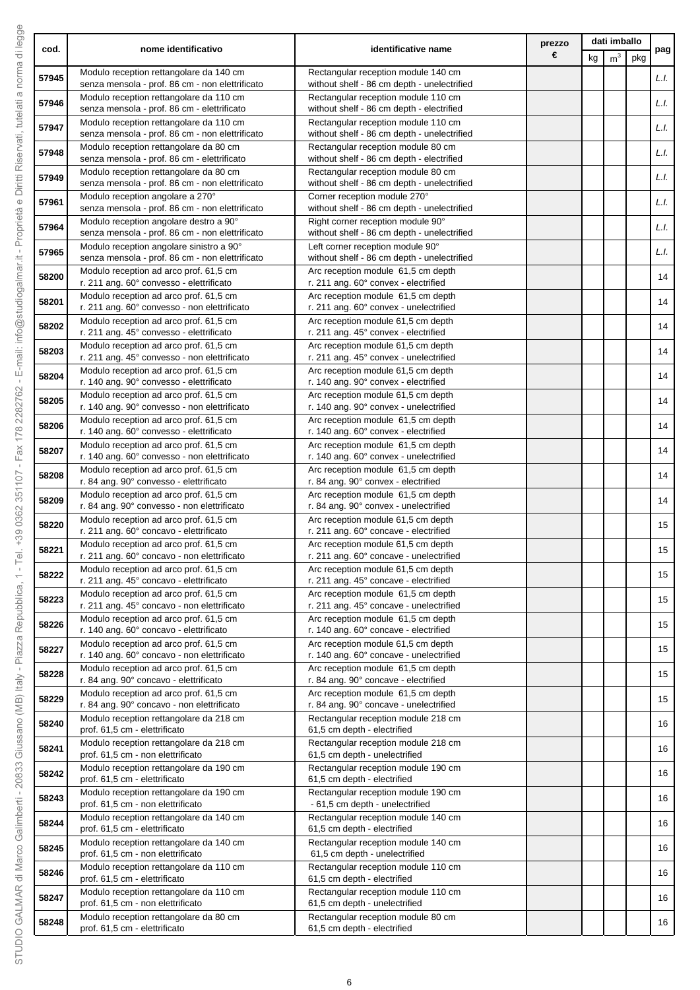|       |                                                                                             | prezzo<br>nome identificativo<br>identificative name<br>€                          |  | dati imballo |                |     |      |
|-------|---------------------------------------------------------------------------------------------|------------------------------------------------------------------------------------|--|--------------|----------------|-----|------|
| cod.  |                                                                                             |                                                                                    |  | kg           | m <sup>3</sup> | pkg | pag  |
| 57945 | Modulo reception rettangolare da 140 cm<br>senza mensola - prof. 86 cm - non elettrificato  | Rectangular reception module 140 cm<br>without shelf - 86 cm depth - unelectrified |  |              |                |     | L.I. |
| 57946 | Modulo reception rettangolare da 110 cm<br>senza mensola - prof. 86 cm - elettrificato      | Rectangular reception module 110 cm<br>without shelf - 86 cm depth - electrified   |  |              |                |     | L.I. |
| 57947 | Modulo reception rettangolare da 110 cm                                                     | Rectangular reception module 110 cm                                                |  |              |                |     | L.I. |
| 57948 | senza mensola - prof. 86 cm - non elettrificato<br>Modulo reception rettangolare da 80 cm   | without shelf - 86 cm depth - unelectrified<br>Rectangular reception module 80 cm  |  |              |                |     | L.I. |
|       | senza mensola - prof. 86 cm - elettrificato<br>Modulo reception rettangolare da 80 cm       | without shelf - 86 cm depth - electrified<br>Rectangular reception module 80 cm    |  |              |                |     |      |
| 57949 | senza mensola - prof. 86 cm - non elettrificato                                             | without shelf - 86 cm depth - unelectrified                                        |  |              |                |     | L.I. |
| 57961 | Modulo reception angolare a 270°<br>senza mensola - prof. 86 cm - non elettrificato         | Corner reception module 270°<br>without shelf - 86 cm depth - unelectrified        |  |              |                |     | L.I. |
| 57964 | Modulo reception angolare destro a 90°<br>senza mensola - prof. 86 cm - non elettrificato   | Right corner reception module 90°<br>without shelf - 86 cm depth - unelectrified   |  |              |                |     | L.I. |
| 57965 | Modulo reception angolare sinistro a 90°<br>senza mensola - prof. 86 cm - non elettrificato | Left corner reception module 90°<br>without shelf - 86 cm depth - unelectrified    |  |              |                |     | L.I. |
| 58200 | Modulo reception ad arco prof. 61,5 cm                                                      | Arc reception module 61,5 cm depth                                                 |  |              |                |     | 14   |
| 58201 | r. 211 ang. 60° convesso - elettrificato<br>Modulo reception ad arco prof. 61,5 cm          | r. 211 ang. 60° convex - electrified<br>Arc reception module 61,5 cm depth         |  |              |                |     | 14   |
|       | r. 211 ang. 60° convesso - non elettrificato<br>Modulo reception ad arco prof. 61,5 cm      | r. 211 ang. 60° convex - unelectrified<br>Arc reception module 61,5 cm depth       |  |              |                |     |      |
| 58202 | r. 211 ang. 45° convesso - elettrificato                                                    | r. 211 ang. 45° convex - electrified                                               |  |              |                |     | 14   |
| 58203 | Modulo reception ad arco prof. 61,5 cm<br>r. 211 ang. 45° convesso - non elettrificato      | Arc reception module 61,5 cm depth<br>r. 211 ang. 45° convex - unelectrified       |  |              |                |     | 14   |
| 58204 | Modulo reception ad arco prof. 61,5 cm<br>r. 140 ang. 90° convesso - elettrificato          | Arc reception module 61,5 cm depth<br>r. 140 ang. 90° convex - electrified         |  |              |                |     | 14   |
| 58205 | Modulo reception ad arco prof. 61,5 cm<br>r. 140 ang. 90° convesso - non elettrificato      | Arc reception module 61,5 cm depth<br>r. 140 ang. 90° convex - unelectrified       |  |              |                |     | 14   |
| 58206 | Modulo reception ad arco prof. 61,5 cm                                                      | Arc reception module 61,5 cm depth                                                 |  |              |                |     | 14   |
| 58207 | r. 140 ang. 60° convesso - elettrificato<br>Modulo reception ad arco prof. 61,5 cm          | r. 140 ang. 60° convex - electrified<br>Arc reception module 61,5 cm depth         |  |              |                |     | 14   |
|       | r. 140 ang. 60° convesso - non elettrificato<br>Modulo reception ad arco prof. 61,5 cm      | r. 140 ang. 60° convex - unelectrified<br>Arc reception module 61,5 cm depth       |  |              |                |     |      |
| 58208 | r. 84 ang. 90° convesso - elettrificato                                                     | r. 84 ang. 90° convex - electrified                                                |  |              |                |     | 14   |
| 58209 | Modulo reception ad arco prof. 61,5 cm<br>r. 84 ang. 90° convesso - non elettrificato       | Arc reception module 61,5 cm depth<br>r. 84 ang. 90° convex - unelectrified        |  |              |                |     | 14   |
| 58220 | Modulo reception ad arco prof. 61,5 cm<br>r. 211 ang. 60° concavo - elettrificato           | Arc reception module 61,5 cm depth<br>r. 211 ang. 60° concave - electrified        |  |              |                |     | 15   |
| 58221 | Modulo reception ad arco prof. 61,5 cm<br>r. 211 ang. 60° concavo - non elettrificato       | Arc reception module 61,5 cm depth<br>r. 211 ang. 60° concave - unelectrified      |  |              |                |     | 15   |
| 58222 | Modulo reception ad arco prof. 61,5 cm<br>r. 211 ang. 45° concavo - elettrificato           | Arc reception module 61,5 cm depth<br>r. 211 ang. 45° concave - electrified        |  |              |                |     | 15   |
| 58223 | Modulo reception ad arco prof. 61,5 cm                                                      | Arc reception module 61,5 cm depth                                                 |  |              |                |     | 15   |
| 58226 | r. 211 ang. 45° concavo - non elettrificato<br>Modulo reception ad arco prof. 61,5 cm       | r. 211 ang. 45° concave - unelectrified<br>Arc reception module 61,5 cm depth      |  |              |                |     | 15   |
|       | r. 140 ang. 60° concavo - elettrificato<br>Modulo reception ad arco prof. 61,5 cm           | r. 140 ang. 60° concave - electrified<br>Arc reception module 61,5 cm depth        |  |              |                |     |      |
| 58227 | r. 140 ang. 60° concavo - non elettrificato                                                 | r. 140 ang. 60° concave - unelectrified                                            |  |              |                |     | 15   |
| 58228 | Modulo reception ad arco prof. 61,5 cm<br>r. 84 ang. 90° concavo - elettrificato            | Arc reception module 61,5 cm depth<br>r. 84 ang. 90° concave - electrified         |  |              |                |     | 15   |
| 58229 | Modulo reception ad arco prof. 61,5 cm<br>r. 84 ang. 90° concavo - non elettrificato        | Arc reception module 61,5 cm depth<br>r. 84 ang. 90° concave - unelectrified       |  |              |                |     | 15   |
| 58240 | Modulo reception rettangolare da 218 cm<br>prof. 61,5 cm - elettrificato                    | Rectangular reception module 218 cm<br>61,5 cm depth - electrified                 |  |              |                |     | 16   |
| 58241 | Modulo reception rettangolare da 218 cm<br>prof. 61,5 cm - non elettrificato                | Rectangular reception module 218 cm<br>61,5 cm depth - unelectrified               |  |              |                |     | 16   |
| 58242 | Modulo reception rettangolare da 190 cm                                                     | Rectangular reception module 190 cm                                                |  |              |                |     | 16   |
|       | prof. 61,5 cm - elettrificato<br>Modulo reception rettangolare da 190 cm                    | 61,5 cm depth - electrified<br>Rectangular reception module 190 cm                 |  |              |                |     |      |
| 58243 | prof. 61,5 cm - non elettrificato<br>Modulo reception rettangolare da 140 cm                | - 61,5 cm depth - unelectrified<br>Rectangular reception module 140 cm             |  |              |                |     | 16   |
| 58244 | prof. 61,5 cm - elettrificato                                                               | 61,5 cm depth - electrified                                                        |  |              |                |     | 16   |
| 58245 | Modulo reception rettangolare da 140 cm<br>prof. 61,5 cm - non elettrificato                | Rectangular reception module 140 cm<br>61,5 cm depth - unelectrified               |  |              |                |     | 16   |
| 58246 | Modulo reception rettangolare da 110 cm<br>prof. 61,5 cm - elettrificato                    | Rectangular reception module 110 cm<br>61,5 cm depth - electrified                 |  |              |                |     | 16   |
| 58247 | Modulo reception rettangolare da 110 cm<br>prof. 61,5 cm - non elettrificato                | Rectangular reception module 110 cm<br>61,5 cm depth - unelectrified               |  |              |                |     | 16   |
| 58248 | Modulo reception rettangolare da 80 cm                                                      | Rectangular reception module 80 cm                                                 |  |              |                |     | 16   |
|       | prof. 61,5 cm - elettrificato                                                               | 61,5 cm depth - electrified                                                        |  |              |                |     |      |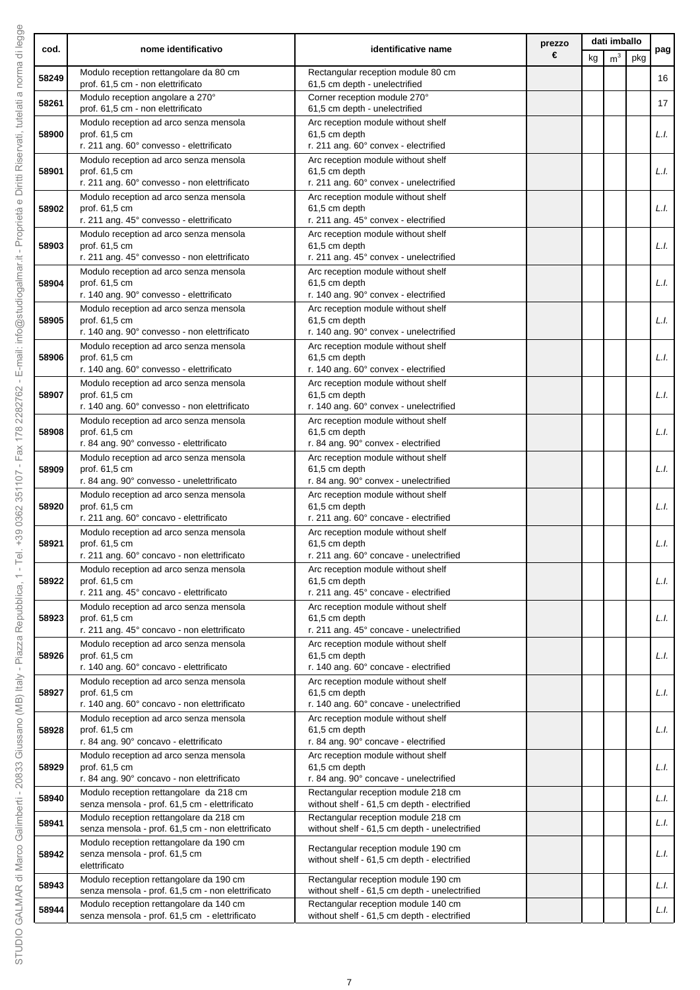|       | nome identificativo                                                                          | identificative name                                                                  | prezzo | dati imballo |                |     |      |
|-------|----------------------------------------------------------------------------------------------|--------------------------------------------------------------------------------------|--------|--------------|----------------|-----|------|
| cod.  |                                                                                              |                                                                                      | €      | kg           | m <sup>3</sup> | pkg | pag  |
| 58249 | Modulo reception rettangolare da 80 cm<br>prof. 61,5 cm - non elettrificato                  | Rectangular reception module 80 cm<br>61,5 cm depth - unelectrified                  |        |              |                |     | 16   |
| 58261 | Modulo reception angolare a 270°                                                             | Corner reception module 270°                                                         |        |              |                |     | 17   |
|       | prof. 61,5 cm - non elettrificato                                                            | 61,5 cm depth - unelectrified<br>Arc reception module without shelf                  |        |              |                |     |      |
| 58900 | Modulo reception ad arco senza mensola<br>prof. 61,5 cm                                      | 61,5 cm depth                                                                        |        |              |                |     | L.I. |
|       | r. 211 ang. 60° convesso - elettrificato                                                     | r. 211 ang. 60° convex - electrified                                                 |        |              |                |     |      |
| 58901 | Modulo reception ad arco senza mensola<br>prof. 61,5 cm                                      | Arc reception module without shelf<br>61,5 cm depth                                  |        |              |                |     | L.I. |
|       | r. 211 ang. 60° convesso - non elettrificato                                                 | r. 211 ang. 60° convex - unelectrified                                               |        |              |                |     |      |
| 58902 | Modulo reception ad arco senza mensola<br>prof. 61,5 cm                                      | Arc reception module without shelf<br>61,5 cm depth                                  |        |              |                |     | L.I. |
|       | r. 211 ang. 45° convesso - elettrificato                                                     | r. 211 ang. 45° convex - electrified                                                 |        |              |                |     |      |
| 58903 | Modulo reception ad arco senza mensola<br>prof. 61,5 cm                                      | Arc reception module without shelf<br>61,5 cm depth                                  |        |              |                |     | L.I. |
|       | r. 211 ang. 45° convesso - non elettrificato                                                 | r. 211 ang. 45° convex - unelectrified                                               |        |              |                |     |      |
| 58904 | Modulo reception ad arco senza mensola<br>prof. 61.5 cm                                      | Arc reception module without shelf<br>61,5 cm depth                                  |        |              |                |     | L.I. |
|       | r. 140 ang. 90° convesso - elettrificato                                                     | r. 140 ang. 90° convex - electrified                                                 |        |              |                |     |      |
| 58905 | Modulo reception ad arco senza mensola<br>prof. 61,5 cm                                      | Arc reception module without shelf<br>61,5 cm depth                                  |        |              |                |     | L.I. |
|       | r. 140 ang. 90° convesso - non elettrificato                                                 | r. 140 ang. 90° convex - unelectrified                                               |        |              |                |     |      |
| 58906 | Modulo reception ad arco senza mensola<br>prof. 61,5 cm                                      | Arc reception module without shelf<br>61,5 cm depth                                  |        |              |                |     | L.I. |
|       | r. 140 ang. 60° convesso - elettrificato                                                     | r. 140 ang. 60° convex - electrified                                                 |        |              |                |     |      |
| 58907 | Modulo reception ad arco senza mensola<br>prof. 61,5 cm                                      | Arc reception module without shelf<br>61,5 cm depth                                  |        |              |                |     | L.I. |
|       | r. 140 ang. 60° convesso - non elettrificato                                                 | r. 140 ang. 60° convex - unelectrified                                               |        |              |                |     |      |
| 58908 | Modulo reception ad arco senza mensola<br>prof. 61,5 cm                                      | Arc reception module without shelf<br>61,5 cm depth                                  |        |              |                |     | L.I. |
|       | r. 84 ang. 90° convesso - elettrificato                                                      | r. 84 ang. 90° convex - electrified                                                  |        |              |                |     |      |
| 58909 | Modulo reception ad arco senza mensola<br>prof. 61,5 cm                                      | Arc reception module without shelf<br>61,5 cm depth                                  |        |              |                |     | L.I. |
|       | r. 84 ang. 90° convesso - unelettrificato<br>Modulo reception ad arco senza mensola          | r. 84 ang. 90° convex - unelectrified<br>Arc reception module without shelf          |        |              |                |     |      |
| 58920 | prof. 61,5 cm                                                                                | 61,5 cm depth                                                                        |        |              |                |     | L.I. |
|       | r. 211 ang. 60° concavo - elettrificato<br>Modulo reception ad arco senza mensola            | r. 211 ang. 60° concave - electrified<br>Arc reception module without shelf          |        |              |                |     |      |
| 58921 | prof. 61,5 cm                                                                                | 61,5 cm depth                                                                        |        |              |                |     | L.I. |
|       | r. 211 ang. 60° concavo - non elettrificato<br>Modulo reception ad arco senza mensola        | r. 211 ang. 60° concave - unelectrified<br>Arc reception module without shelf        |        |              |                |     |      |
| 58922 | prof. 61,5 cm                                                                                | 61,5 cm depth                                                                        |        |              |                |     | L.I. |
|       | r. 211 ang. 45° concavo - elettrificato<br>Modulo reception ad arco senza mensola            | r. 211 ang. 45° concave - electrified<br>Arc reception module without shelf          |        |              |                |     |      |
| 58923 | prof. 61,5 cm                                                                                | 61,5 cm depth                                                                        |        |              |                |     | L.I. |
|       | r. 211 ang. 45° concavo - non elettrificato<br>Modulo reception ad arco senza mensola        | r. 211 ang. 45° concave - unelectrified<br>Arc reception module without shelf        |        |              |                |     |      |
| 58926 | prof. 61.5 cm                                                                                | 61,5 cm depth<br>r. 140 ang. 60° concave - electrified                               |        |              |                |     | L.I. |
|       | r. 140 ang. 60° concavo - elettrificato<br>Modulo reception ad arco senza mensola            | Arc reception module without shelf                                                   |        |              |                |     |      |
| 58927 | prof. 61,5 cm<br>r. 140 ang. 60° concavo - non elettrificato                                 | 61,5 cm depth<br>r. 140 ang. 60° concave - unelectrified                             |        |              |                |     | L.I. |
|       | Modulo reception ad arco senza mensola                                                       | Arc reception module without shelf                                                   |        |              |                |     |      |
| 58928 | prof. 61,5 cm<br>r. 84 ang. 90° concavo - elettrificato                                      | 61,5 cm depth<br>r. 84 ang. 90° concave - electrified                                |        |              |                |     | L.I. |
|       | Modulo reception ad arco senza mensola                                                       | Arc reception module without shelf                                                   |        |              |                |     |      |
| 58929 | prof. 61,5 cm<br>r. 84 ang. 90° concavo - non elettrificato                                  | 61,5 cm depth<br>r. 84 ang. 90° concave - unelectrified                              |        |              |                |     | L.I. |
| 58940 | Modulo reception rettangolare da 218 cm                                                      | Rectangular reception module 218 cm                                                  |        |              |                |     | L.I. |
|       | senza mensola - prof. 61,5 cm - elettrificato<br>Modulo reception rettangolare da 218 cm     | without shelf - 61,5 cm depth - electrified<br>Rectangular reception module 218 cm   |        |              |                |     |      |
| 58941 | senza mensola - prof. 61,5 cm - non elettrificato                                            | without shelf - 61,5 cm depth - unelectrified                                        |        |              |                |     | L.I. |
| 58942 | Modulo reception rettangolare da 190 cm<br>senza mensola - prof. 61,5 cm<br>elettrificato    | Rectangular reception module 190 cm<br>without shelf - 61,5 cm depth - electrified   |        |              |                |     | L.I. |
| 58943 | Modulo reception rettangolare da 190 cm                                                      | Rectangular reception module 190 cm                                                  |        |              |                |     | L.I. |
|       | senza mensola - prof. 61,5 cm - non elettrificato<br>Modulo reception rettangolare da 140 cm | without shelf - 61,5 cm depth - unelectrified<br>Rectangular reception module 140 cm |        |              |                |     |      |
| 58944 | senza mensola - prof. 61,5 cm - elettrificato                                                | without shelf - 61,5 cm depth - electrified                                          |        |              |                |     | L.I. |